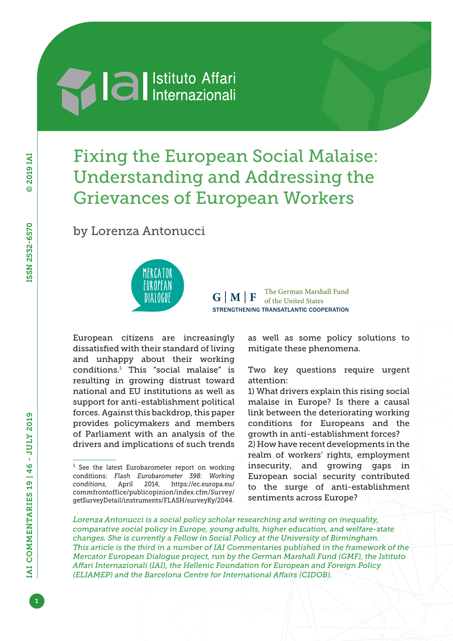

# Fixing the European Social Malaise: Understanding and Addressing the Grievances of European Workers

by Lorenza Antonucci



The German Marshall Fund  $G|M|F$ of the United States STRENGTHENING TRANSATLANTIC COOPERATION

European citizens are increasingly dissatisfied with their standard of living and unhappy about their working conditions.<sup>1</sup> This "social malaise" is resulting in growing distrust toward national and EU institutions as well as support for anti-establishment political forces. Against this backdrop, this paper provides policymakers and members of Parliament with an analysis of the drivers and implications of such trends

as well as some policy solutions to mitigate these phenomena.

Two key questions require urgent attention:

1) What drivers explain this rising social malaise in Europe? Is there a causal link between the deteriorating working conditions for Europeans and the growth in anti-establishment forces? 2) How have recent developments in the realm of workers' rights, employment insecurity, and growing gaps in European social security contributed to the surge of anti-establishment sentiments across Europe?

*Lorenza Antonucci is a social policy scholar researching and writing on inequality, comparative social policy in Europe, young adults, higher education, and welfare-state changes. She is currently a Fellow in Social Policy at the University of Birmingham. This article is the third in a number of IAI Commentaries published in the framework of the Mercator European Dialogue project, run by the German Marshall Fund (GMF), the Istituto Affari Internazionali (IAI), the Hellenic Foundation for European and Foreign Policy (ELIAMEP) and the Barcelona Centre for International Affairs (CIDOB).*

 $1$  See the latest Eurobarometer report on working conditions: *Flash Eurobarometer 398: Working conditions*, April 2014, [https://ec.europa.eu/](https://ec.europa.eu/commfrontoffice/publicopinion/index.cfm/Survey/getSurveyDetail/instruments/FLASH/surveyKy/2044) [commfrontoffice/publicopinion/index.cfm/Survey/](https://ec.europa.eu/commfrontoffice/publicopinion/index.cfm/Survey/getSurveyDetail/instruments/FLASH/surveyKy/2044) [getSurveyDetail/instruments/FLASH/surveyKy/2044](https://ec.europa.eu/commfrontoffice/publicopinion/index.cfm/Survey/getSurveyDetail/instruments/FLASH/surveyKy/2044).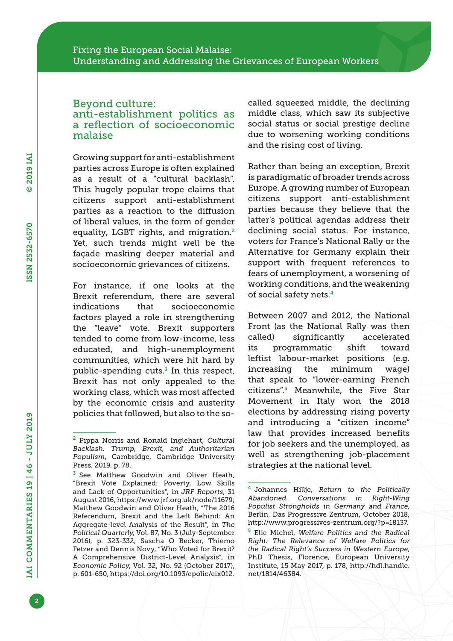### Beyond culture: anti-establishment politics as a reflection of socioeconomic malaise

Growing support for anti-establishment parties across Europe is often explained as a result of a "cultural backlash". This hugely popular trope claims that citizens support anti-establishment parties as a reaction to the diffusion of liberal values, in the form of gender equality, LGBT rights, and migration.<sup>2</sup> Yet, such trends might well be the façade masking deeper material and socioeconomic grievances of citizens.

For instance, if one looks at the Brexit referendum, there are several indications that socioeconomic factors played a role in strengthening the "leave" vote. Brexit supporters tended to come from low-income, less educated, and high-unemployment communities, which were hit hard by public-spending cuts. $3$  In this respect, Brexit has not only appealed to the working class, which was most affected by the economic crisis and austerity policies that followed, but also to the socalled squeezed middle, the declining middle class, which saw its subjective social status or social prestige decline due to worsening working conditions and the rising cost of living.

Rather than being an exception, Brexit is paradigmatic of broader trends across Europe. A growing number of European citizens support anti-establishment parties because they believe that the latter's political agendas address their declining social status. For instance, voters for France's National Rally or the Alternative for Germany explain their support with frequent references to fears of unemployment, a worsening of working conditions, and the weakening of social safety nets.<sup>4</sup>

Between 2007 and 2012, the National Front (as the National Rally was then called) significantly accelerated its programmatic shift toward leftist labour-market positions (e.g. increasing the minimum wage) that speak to "lower-earning French citizens".5 Meanwhile, the Five Star Movement in Italy won the 2018 elections by addressing rising poverty and introducing a "citizen income" law that provides increased benefits for job seekers and the unemployed, as well as strengthening job-placement strategies at the national level.

<sup>2</sup> Pippa Norris and Ronald Inglehart, *Cultural Backlash. Trump, Brexit, and Authoritarian Populism*, Cambridge, Cambridge University Press, 2019, p. 78.

<sup>&</sup>lt;sup>3</sup> See Matthew Goodwin and Oliver Heath, "Brexit Vote Explained: Poverty, Low Skills and Lack of Opportunities", in *JRF Reports*, 31 August 2016, [https://www.jrf.org.uk/node/11679;](https://www.jrf.org.uk/node/11679) Matthew Goodwin and Oliver Heath, "The 2016 Referendum, Brexit and the Left Behind: An Aggregate-level Analysis of the Result", in *The Political Quarterly*, Vol. 87, No. 3 (July-September 2016), p. 323-332; Sascha O Becker, Thiemo Fetzer and Dennis Novy, "Who Voted for Brexit? A Comprehensive District-Level Analysis", in *Economic Policy*, Vol. 32, No. 92 (October 2017), p. 601-650,<https://doi.org/10.1093/epolic/eix012>.

<sup>4</sup> Johannes Hillje, *Return to the Politically Abandoned. Conversations in Right-Wing Populist Strongholds in Germany and France*, Berlin, Das Progressive Zentrum, October 2018, [http://www.progressives-zentrum.org/?p=18137.](http://www.progressives-zentrum.org/?p=18137)

<sup>5</sup> Elie Michel, *Welfare Politics and the Radical Right: The Relevance of Welfare Politics for the Radical Right's Success in Western Europe*, PhD Thesis, Florence, European University Institute, 15 May 2017, p. 178, [http://hdl.handle.](http://hdl.handle.net/1814/46384) [net/1814/46384](http://hdl.handle.net/1814/46384).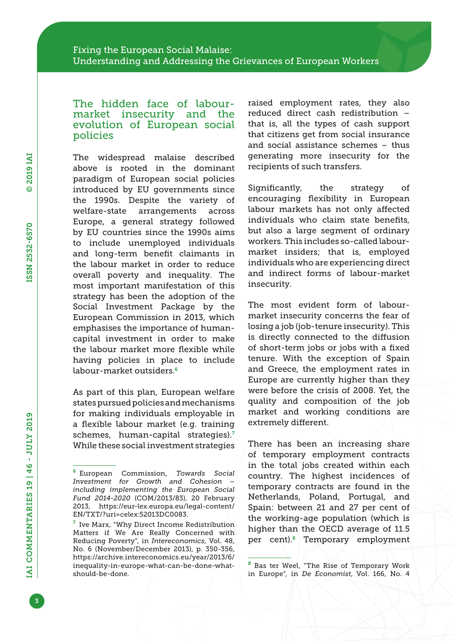### The hidden face of labourmarket insecurity and the evolution of European social policies

The widespread malaise described above is rooted in the dominant paradigm of European social policies introduced by EU governments since the 1990s. Despite the variety of welfare-state arrangements across Europe, a general strategy followed by EU countries since the 1990s aims to include unemployed individuals and long-term benefit claimants in the labour market in order to reduce overall poverty and inequality. The most important manifestation of this strategy has been the adoption of the Social Investment Package by the European Commission in 2013, which emphasises the importance of humancapital investment in order to make the labour market more flexible while having policies in place to include labour-market outsiders.<sup>6</sup>

As part of this plan, European welfare states pursued policies and mechanisms for making individuals employable in a flexible labour market (e.g. training schemes, human-capital strategies).<sup>7</sup> While these social investment strategies raised employment rates, they also reduced direct cash redistribution – that is, all the types of cash support that citizens get from social insurance and social assistance schemes – thus generating more insecurity for the recipients of such transfers.

Significantly, the strategy of encouraging flexibility in European labour markets has not only affected individuals who claim state benefits, but also a large segment of ordinary workers. This includes so-called labourmarket insiders; that is, employed individuals who are experiencing direct and indirect forms of labour-market insecurity.

The most evident form of labourmarket insecurity concerns the fear of losing a job (job-tenure insecurity). This is directly connected to the diffusion of short-term jobs or jobs with a fixed tenure. With the exception of Spain and Greece, the employment rates in Europe are currently higher than they were before the crisis of 2008. Yet, the quality and composition of the job market and working conditions are extremely different.

There has been an increasing share of temporary employment contracts in the total jobs created within each country. The highest incidences of temporary contracts are found in the Netherlands, Poland, Portugal, and Spain: between 21 and 27 per cent of the working-age population (which is higher than the OECD average of 11.5 per cent).8 Temporary employment

<sup>6</sup> European Commission, *Towards Social Investment for Growth and Cohesion – including implementing the European Social Fund 2014-2020* (COM/2013/83), 20 February 2013, [https://eur-lex.europa.eu/legal-content/](https://eur-lex.europa.eu/legal-content/EN/TXT/?uri=celex:52013DC0083) [EN/TXT/?uri=celex:52013DC0083.](https://eur-lex.europa.eu/legal-content/EN/TXT/?uri=celex:52013DC0083)

<sup>7</sup> Ive Marx, "Why Direct Income Redistribution Matters if We Are Really Concerned with Reducing Poverty", in *Intereconomics*, Vol. 48, No. 6 (November/December 2013), p. 350-356, [https://archive.intereconomics.eu/year/2013/6/](https://archive.intereconomics.eu/year/2013/6/inequality-in-europe-what-can-be-done-what-should-be-done) [inequality-in-europe-what-can-be-done-what](https://archive.intereconomics.eu/year/2013/6/inequality-in-europe-what-can-be-done-what-should-be-done)[should-be-done.](https://archive.intereconomics.eu/year/2013/6/inequality-in-europe-what-can-be-done-what-should-be-done)

<sup>8</sup> Bas ter Weel, "The Rise of Temporary Work in Europe", in *De Economist*, Vol. 166, No. 4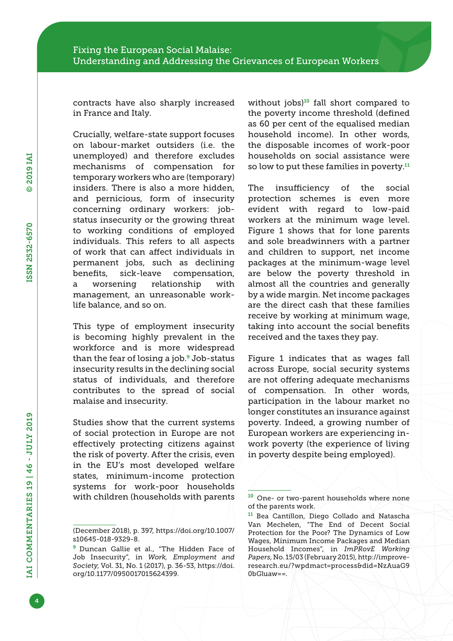contracts have also sharply increased in France and Italy.

Crucially, welfare-state support focuses on labour-market outsiders (i.e. the unemployed) and therefore excludes mechanisms of compensation for temporary workers who are (temporary) insiders. There is also a more hidden, and pernicious, form of insecurity concerning ordinary workers: jobstatus insecurity or the growing threat to working conditions of employed individuals. This refers to all aspects of work that can affect individuals in permanent jobs, such as declining benefits, sick-leave compensation, a worsening relationship with management, an unreasonable worklife balance, and so on.

This type of employment insecurity is becoming highly prevalent in the workforce and is more widespread than the fear of losing a job.9 Job-status insecurity results in the declining social status of individuals, and therefore contributes to the spread of social malaise and insecurity.

Studies show that the current systems of social protection in Europe are not effectively protecting citizens against the risk of poverty. After the crisis, even in the EU's most developed welfare states, minimum-income protection systems for work-poor households with children (households with parents

without jobs) $10$  fall short compared to the poverty income threshold (defined as 60 per cent of the equalised median household income). In other words, the disposable incomes of work-poor households on social assistance were so low to put these families in poverty. $11$ 

The insufficiency of the social protection schemes is even more evident with regard to low-paid workers at the minimum wage level. Figure 1 shows that for lone parents and sole breadwinners with a partner and children to support, net income packages at the minimum-wage level are below the poverty threshold in almost all the countries and generally by a wide margin. Net income packages are the direct cash that these families receive by working at minimum wage, taking into account the social benefits received and the taxes they pay.

Figure 1 indicates that as wages fall across Europe, social security systems are not offering adequate mechanisms of compensation. In other words, participation in the labour market no longer constitutes an insurance against poverty. Indeed, a growing number of European workers are experiencing inwork poverty (the experience of living in poverty despite being employed).

4

<sup>(</sup>December 2018), p. 397, [https://doi.org/10.1007/](https://doi.org/10.1007/s10645-018-9329-8) [s10645-018-9329-8](https://doi.org/10.1007/s10645-018-9329-8).

<sup>&</sup>lt;sup>9</sup> Duncan Gallie et al., "The Hidden Face of Job Insecurity", in *Work, Employment and Society*, Vol. 31, No. 1 (2017), p. 36-53, [https://doi.](https://doi.org/10.1177/0950017015624399) [org/10.1177/0950017015624399.](https://doi.org/10.1177/0950017015624399)

<sup>10</sup> One- or two-parent households where none of the parents work.

<sup>11</sup> Bea Cantillon, Diego Collado and Natascha Van Mechelen, "The End of Decent Social Protection for the Poor? The Dynamics of Low Wages, Minimum Income Packages and Median Household Incomes", in *ImPRovE Working Papers*, No. 15/03 (February 2015), [http://improve](http://improve-research.eu/?wpdmact=process&did=NzAuaG90bGluaw==)[research.eu/?wpdmact=process&did=NzAuaG9](http://improve-research.eu/?wpdmact=process&did=NzAuaG90bGluaw==) [0bGluaw==.](http://improve-research.eu/?wpdmact=process&did=NzAuaG90bGluaw==)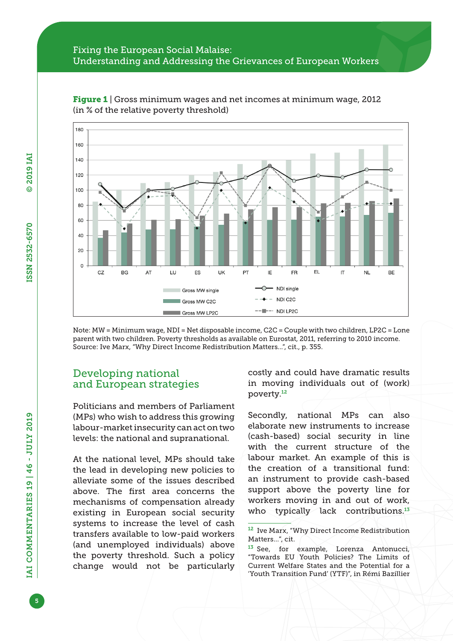

Figure 1 | Gross minimum wages and net incomes at minimum wage, 2012 (in % of the relative poverty threshold)

Note: MW = Minimum wage, NDI = Net disposable income, C2C = Couple with two children, LP2C = Lone parent with two children. Poverty thresholds as available on Eurostat, 2011, referring to 2010 income. Source: Ive Marx, "Why Direct Income Redistribution Matters...", cit., p. 355.

## Developing national and European strategies

Politicians and members of Parliament (MPs) who wish to address this growing labour-market insecurity can act on two levels: the national and supranational.

At the national level, MPs should take the lead in developing new policies to alleviate some of the issues described above. The first area concerns the mechanisms of compensation already existing in European social security systems to increase the level of cash transfers available to low-paid workers (and unemployed individuals) above the poverty threshold. Such a policy change would not be particularly costly and could have dramatic results in moving individuals out of (work) poverty.<sup>12</sup>

Secondly, national MPs can also elaborate new instruments to increase (cash-based) social security in line with the current structure of the labour market. An example of this is the creation of a transitional fund: an instrument to provide cash-based support above the poverty line for workers moving in and out of work, who typically lack contributions. $13$ 

<sup>12</sup> Ive Marx, "Why Direct Income Redistribution Matters...", cit.

<sup>13</sup> See, for example, Lorenza Antonucci, "Towards EU Youth Policies? The Limits of Current Welfare States and the Potential for a 'Youth Transition Fund' (YTF)", in Rémi Bazillier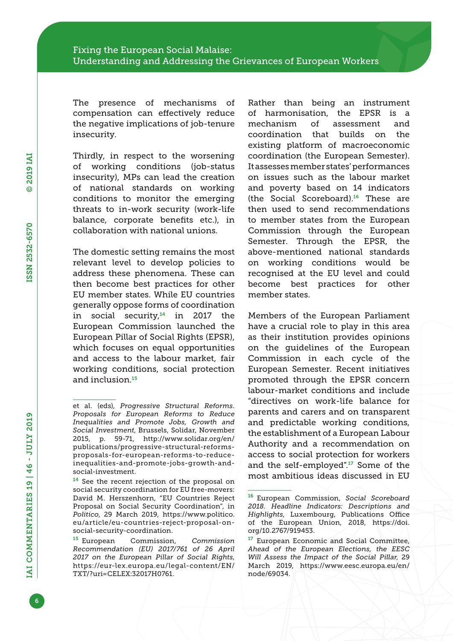The presence of mechanisms of compensation can effectively reduce the negative implications of job-tenure insecurity.

Thirdly, in respect to the worsening of working conditions (job-status insecurity), MPs can lead the creation of national standards on working conditions to monitor the emerging threats to in-work security (work-life balance, corporate benefits etc.), in collaboration with national unions.

The domestic setting remains the most relevant level to develop policies to address these phenomena. These can then become best practices for other EU member states. While EU countries generally oppose forms of coordination in social security, $14$  in 2017 the European Commission launched the European Pillar of Social Rights (EPSR), which focuses on equal opportunities and access to the labour market, fair working conditions, social protection and inclusion.<sup>15</sup>

Rather than being an instrument of harmonisation, the EPSR is a mechanism of assessment and coordination that builds on the existing platform of macroeconomic coordination (the European Semester). It assesses member states' performances on issues such as the labour market and poverty based on 14 indicators (the Social Scoreboard).16 These are then used to send recommendations to member states from the European Commission through the European Semester. Through the EPSR, the above-mentioned national standards on working conditions would be recognised at the EU level and could become best practices for other member states.

Members of the European Parliament have a crucial role to play in this area as their institution provides opinions on the guidelines of the European Commission in each cycle of the European Semester. Recent initiatives promoted through the EPSR concern labour-market conditions and include "directives on work-life balance for parents and carers and on transparent and predictable working conditions, the establishment of a European Labour Authority and a recommendation on access to social protection for workers and the self-employed".17 Some of the most ambitious ideas discussed in EU

et al. (eds), *Progressive Structural Reforms. Proposals for European Reforms to Reduce Inequalities and Promote Jobs, Growth and Social Investment*, Brussels, Solidar, November 2015, p. 59-71, [http://www.solidar.org/en/](http://www.solidar.org/en/publications/progressive-structural-reforms-proposals-for-european-reforms-to-reduce-inequalities-and-promote-jobs-growth-and-social-investment) [publications/progressive-structural-reforms](http://www.solidar.org/en/publications/progressive-structural-reforms-proposals-for-european-reforms-to-reduce-inequalities-and-promote-jobs-growth-and-social-investment)[proposals-for-european-reforms-to-reduce](http://www.solidar.org/en/publications/progressive-structural-reforms-proposals-for-european-reforms-to-reduce-inequalities-and-promote-jobs-growth-and-social-investment)[inequalities-and-promote-jobs-growth-and](http://www.solidar.org/en/publications/progressive-structural-reforms-proposals-for-european-reforms-to-reduce-inequalities-and-promote-jobs-growth-and-social-investment)[social-investment.](http://www.solidar.org/en/publications/progressive-structural-reforms-proposals-for-european-reforms-to-reduce-inequalities-and-promote-jobs-growth-and-social-investment)

<sup>&</sup>lt;sup>14</sup> See the recent rejection of the proposal on social security coordination for EU free-movers: David M. Herszenhorn, "EU Countries Reject Proposal on Social Security Coordination", in *Politico*, 29 March 2019, [https://www.politico.](https://www.politico.eu/article/eu-countries-reject-proposal-on-social-security-coordination) [eu/article/eu-countries-reject-proposal-on](https://www.politico.eu/article/eu-countries-reject-proposal-on-social-security-coordination)[social-security-coordination](https://www.politico.eu/article/eu-countries-reject-proposal-on-social-security-coordination).

<sup>15</sup> European Commission, *Commission Recommendation (EU) 2017/761 of 26 April 2017 on the European Pillar of Social Rights*, [https://eur-lex.europa.eu/legal-content/EN/](https://eur-lex.europa.eu/legal-content/EN/TXT/?uri=CELEX:32017H0761) [TXT/?uri=CELEX:32017H0761.](https://eur-lex.europa.eu/legal-content/EN/TXT/?uri=CELEX:32017H0761)

<sup>16</sup> European Commission, *Social Scoreboard 2018. Headline Indicators: Descriptions and Highlights*, Luxembourg, Publications Office of the European Union, 2018, [https://doi.](https://doi.org/10.2767/919453) [org/10.2767/919453.](https://doi.org/10.2767/919453)

<sup>&</sup>lt;sup>17</sup> European Economic and Social Committee, *Ahead of the European Elections, the EESC Will Assess the Impact of the Social Pillar*, 29 March 2019, [https://www.eesc.europa.eu/en/](https://www.eesc.europa.eu/en/node/69034) [node/69034](https://www.eesc.europa.eu/en/node/69034).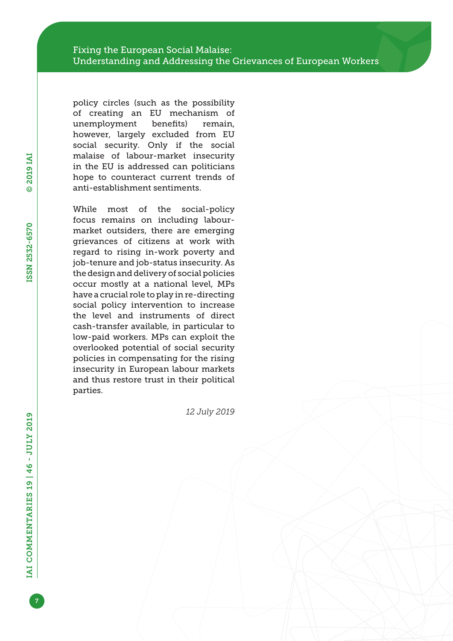policy circles (such as the possibility of creating an EU mechanism of unemployment benefits) remain, however, largely excluded from EU social security. Only if the social malaise of labour-market insecurity in the EU is addressed can politicians hope to counteract current trends of anti-establishment sentiments.

While most of the social-policy focus remains on including labourmarket outsiders, there are emerging grievances of citizens at work with regard to rising in-work poverty and job-tenure and job-status insecurity. As the design and delivery of social policies occur mostly at a national level, MPs have a crucial role to play in re-directing social policy intervention to increase the level and instruments of direct cash-transfer available, in particular to low-paid workers. MPs can exploit the overlooked potential of social security policies in compensating for the rising insecurity in European labour markets and thus restore trust in their political parties.

*12 July 2019*